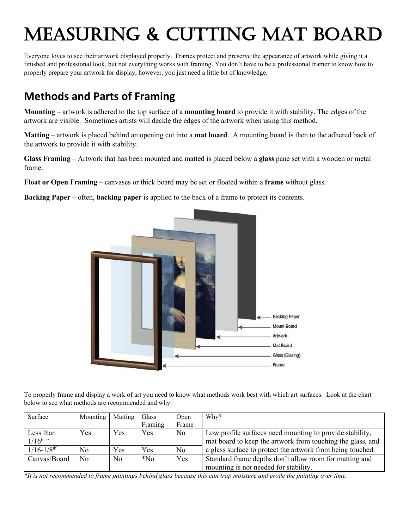# Measuring & Cutting Mat Board

Everyone loves to see their artwork displayed properly. Frames protect and preserve the appearance of artwork while giving it a finished and professional look, but not everything works with framing. You don't have to be a professional framer to know how to properly prepare your artwork for display, however, you just need a little bit of knowledge.

# **Methods and Parts of Framing**

**Mounting** – artwork is adhered to the top surface of a **mounting board** to provide it with stability. The edges of the artwork are visible. Sometimes artists will deckle the edges of the artwork when using this method.

**Matting** – artwork is placed behind an opening cut into a **mat board**. A mounting board is then to the adhered back of the artwork to provide it with stability.

**Glass Framing** – Artwork that has been mounted and matted is placed below a **glass** pane set with a wooden or metal frame.

**Float or Open Framing** – canvases or thick board may be set or floated within a **frame** without glass.

**Backing Paper** – often, **backing paper** is applied to the back of a frame to protect its contents.



To properly frame and display a work of art you need to know what methods work best with which art surfaces. Look at the chart below to see what methods are recommended and why.

| Surface                     | Mounting       | Matting        | Glass   | Open           | Why?                                                       |
|-----------------------------|----------------|----------------|---------|----------------|------------------------------------------------------------|
|                             |                |                | Framing | Frame          |                                                            |
| Less than                   | Yes            | Yes            | Yes     | N <sub>0</sub> | Low profile surfaces need mounting to provide stability,   |
| $1/16^{\text{th}}$ "        |                |                |         |                | mat board to keep the artwork from touching the glass, and |
| $1/16 - 1/8$ <sup>th"</sup> | No             | Yes            | Yes     | N <sub>o</sub> | a glass surface to protect the artwork from being touched. |
| Canvas/Board                | N <sub>o</sub> | N <sub>o</sub> | $*$ No  | Yes            | Standard frame depths don't allow room for matting and     |
|                             |                |                |         |                | mounting is not needed for stability.                      |

*\*It is not recommended to frame paintings behind glass because this can trap moisture and erode the painting over time.*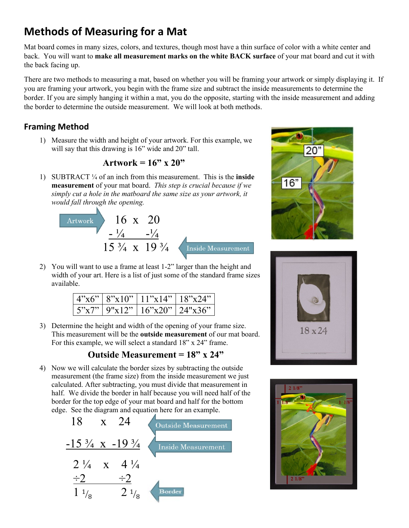# **Methods of Measuring for a Mat**

Mat board comes in many sizes, colors, and textures, though most have a thin surface of color with a white center and back. You will want to **make all measurement marks on the white BACK surface** of your mat board and cut it with the back facing up.

There are two methods to measuring a mat, based on whether you will be framing your artwork or simply displaying it. If you are framing your artwork, you begin with the frame size and subtract the inside measurements to determine the border. If you are simply hanging it within a mat, you do the opposite, starting with the inside measurement and adding the border to determine the outside measurement. We will look at both methods.

#### **Framing Method**

1) Measure the width and height of your artwork. For this example, we will say that this drawing is 16" wide and 20" tall.

#### **Artwork = 16" x 20"**

1) SUBTRACT ¼ of an inch from this measurement. This is the **inside measurement** of your mat board. *This step is crucial because if we simply cut a hole in the matboard the same size as your artwork, it would fall through the opening.*



2) You will want to use a frame at least 1-2" larger than the height and width of your art. Here is a list of just some of the standard frame sizes available.

|       | 4"x6"   8"x10"   11"x14"   18"x24" |  |
|-------|------------------------------------|--|
| 5"x7" | 9"x12" 16"x20" 24"x36"             |  |

3) Determine the height and width of the opening of your frame size. This measurement will be the **outside measurement** of our mat board. For this example, we will select a standard 18" x 24" frame.

#### **Outside Measurement = 18" x 24"**

4) Now we will calculate the border sizes by subtracting the outside measurement (the frame size) from the inside measurement we just calculated. After subtracting, you must divide that measurement in half. We divide the border in half because you will need half of the border for the top edge of your mat board and half for the bottom edge. See the diagram and equation here for an example.







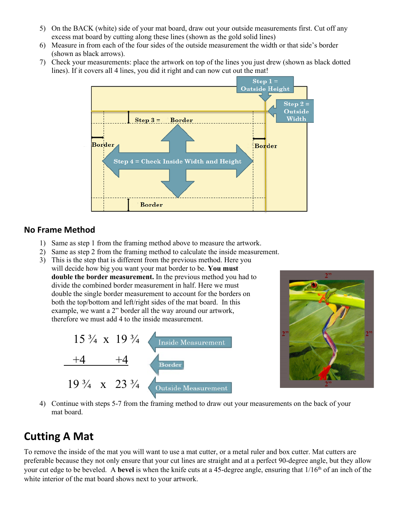- 5) On the BACK (white) side of your mat board, draw out your outside measurements first. Cut off any excess mat board by cutting along these lines (shown as the gold solid lines)
- 6) Measure in from each of the four sides of the outside measurement the width or that side's border (shown as black arrows).
- 7) Check your measurements: place the artwork on top of the lines you just drew (shown as black dotted lines). If it covers all 4 lines, you did it right and can now cut out the mat!



#### **No Frame Method**

- 1) Same as step 1 from the framing method above to measure the artwork.
- 2) Same as step 2 from the framing method to calculate the inside measurement.
- 3) This is the step that is different from the previous method. Here you will decide how big you want your mat border to be. **You must double the border measurement.** In the previous method you had to divide the combined border measurement in half. Here we must double the single border measurement to account for the borders on both the top/bottom and left/right sides of the mat board. In this example, we want a 2" border all the way around our artwork, therefore we must add 4 to the inside measurement.





4) Continue with steps 5-7 from the framing method to draw out your measurements on the back of your mat board.

## **Cutting A Mat**

To remove the inside of the mat you will want to use a mat cutter, or a metal ruler and box cutter. Mat cutters are preferable because they not only ensure that your cut lines are straight and at a perfect 90-degree angle, but they allow your cut edge to be beveled. A **bevel** is when the knife cuts at a 45-degree angle, ensuring that  $1/16<sup>th</sup>$  of an inch of the white interior of the mat board shows next to your artwork.